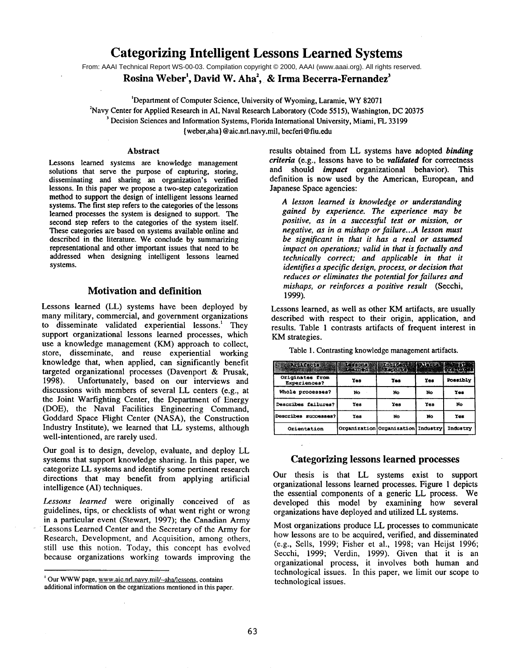# **Categorizing Intelligent Lessons Learned Systems**

From: AAAI Technical Report WS-00-03. Compilation copyright © 2000, AAAI (www.aaai.org). All rights reserved.

Rosina Weber<sup>1</sup>, David W. Aha<sup>2</sup>, & Irma Becerra-Fernandez<sup>3</sup>

'Department of Computer Science, University of Wyoming, Laramie, WY 82071

~Navy Center for Applied Research in AI, Naval Research Laboratory (Code 5515), Washington, DC 20375

<sup>3</sup> Decision Sciences and Information Systems, Florida International University, Miami, FL 33199

{ weber,aha } @ aic.nrl.navy.mil, beefed @ fiu.edu

#### **Abstract**

Lessons learned systems are knowledge management solutions that serve the purpose of capturing, storing, disseminating and sharing an organization's verified lessons. In this paper we propose a two-step categorization method to support the design of intelligent lessons learned systems. The first step refers to the categories of the lessons learned processes the system is designed to support. The second step refers to the categories of the system itself. These categories are based on systems available online and described in the literature. We conclude by summarizing representational and other important issues that need to be addressed when designing intelligent lessons learned systems.

### **Motivation and definition**

Lessons learned (LL) systems have been deployed by many military, commercial, and government organizations to disseminate validated experiential lessons.' They support organizational lessons learned processes, which use a knowledge management (KM) approach to collect, store, disseminate, and reuse experiential working knowledge that, when applied, can significantly benefit targeted organizational processes (Davenport & Prusak, 1998). Unfortunately, based on our interviews and Unfortunately, based on our interviews and discussions with members of several LL centers (e.g., at the Joint Warfighting Center, the Department of Energy (DOE), the Naval Facilities Engineering Command, Goddard Space Flight Center (NASA), the Construction Industry Institute), we learned that LL systems, although well-intentioned, are rarely used.

Our goal is to design, develop, evaluate, and deploy LL systems that support knowledge sharing. In this paper, we categorize LL systems and identify some pertinent research directions that may benefit from applying artificial intelligence (AI) techniques.

*Lessons learned* were originally conceived of as guidelines, tips, or checklists of what went right or wrong in a particular event (Stewart, 1997); the Canadian Army Lessons Learned Center and the Secretary of the Army for Research, Development, and Acquisition, among others, still use this notion. Today, this concept has evolved because organizations working towards improving the results obtained from LL systems have adopted *binding criteria* (e.g., lessons have to be *validated* for correctness and should *impact* organizational behavior). This definition is now used by the American, European, **and** Japanese Space agencies:

*A lesson learned is knowledge or understanding gained by experience. The experience may be positive, as in a successful test or mission, or negative, as in a mishap or failure...A lesson must be significant in that it has a real or assumed impact on operations; valid in that is factually and technically correct; and applicable in that it identifies a specific design, process, or decision that reduces or eliminates the potential for failures and mishaps, or reinforces a positive result* (Secchi, 1999).

Lessons learned, as well as other KM artifacts, are usually described with respect to their origin, application, and results. Table 1 contrasts artifacts of frequent interest in KM strategies.

| Assistant of the state of Albert (Albert ) |     |                                    |     |                 |
|--------------------------------------------|-----|------------------------------------|-----|-----------------|
| Originates from<br>Experiences?            | Yes | Yes                                | Yes | <b>Possibly</b> |
| Whole processes?                           | No  | No                                 | No  | Yes             |
| Describes failures?                        | Yes | Yes                                | Yes | No              |
| Describes successes?                       | Yes | No                                 | No  | Yes             |
| Orientation                                |     | Organization Organization Industry |     | Industry        |

Table 1. Contrasting knowledge management artifacts.

#### Categorizing lessons learned processes

Our thesis is that LL systems exist to support organizational lessons learned processes. Figure 1 depicts the essential components of a generic LL process. We developed this model by examining how several organizations have deployed and utilized LL systems.

Most organizations produce LL processes to communicate how lessons are to be acquired, verified, and disseminated (e.g., Sells, 1999; Fisher et al., 1998; van Heijst 1996; Secchi, 1999; Verdin, 1999). Given that it is an organizational process, it involves both human and technological issues. In this paper, we limit our scope to technological issues.

Our WWW page, www.aic.nrl.navv.mil/-aha/lessons, contains additional information on the organizations mentioned in this paper.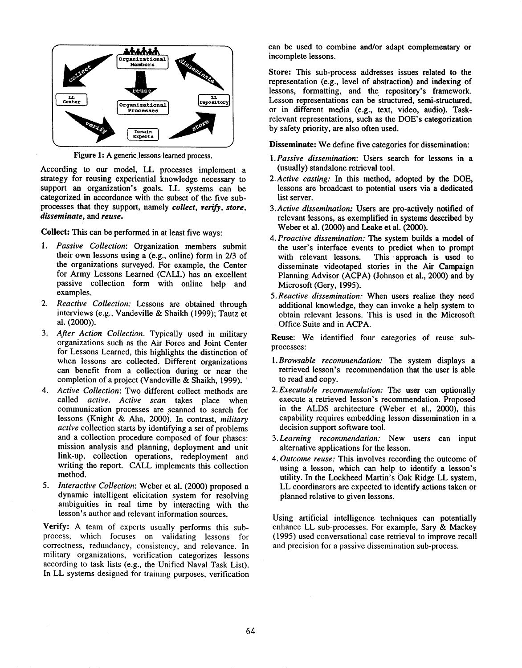

Figure 1: A generic lessons learned process.

According to our model, LL processes implement a strategy for reusing experiential knowledge necessary to support an organization's goals. LL systems can be categorized in accordance with the subset of the five subprocesses that they support, namely *collect, verify, store, disseminate,* and *reuse.*

Collect: This can be performed in at least five ways:

- *I. Passive Collection:* Organization members submit their own lessons using a (e.g., online) form in 2/3 of the organizations surveyed. For example, the Center for Army Lessons Learned (CALL) has an excellent passive collection form with online help and examples.
- *2. Reactive Collection:* Lessons are obtained through interviews (e.g., Vandeville & Shaikh (1999); Tautz al. (2000)).
- *3. After Action Collection.* Typically used in military organizations such as the Air Force and Joint Center for Lessons Learned, this highlights the distinction of when lessons are collected. Different organizations can benefit from a collection during or near the completion of a project (Vandeville & Shaikh, 1999).
- *4. Active Collection:* Two different collect methods are called *active. Active scan* takes place when communication processes are scanned to search for lessons (Knight & Aha, 2000). In contrast, *military active* collection starts by identifying a set of problems and a collection procedure composed of four phases: mission analysis and planning, deployment and unit link-up, collection operations, redeployment and writing the report. CALL implements this collection method.
- *5. Interactive Collection:* Weber et al. (2000) proposed dynamic intelligent elicitation System for resolving ambiguities in real time by interacting with the lesson's author and relevant information sources.

Verify: A team of experts usually performs this subprocess, which focuses on validating lessons for correctness, redundancy, consistency, and relevance. In military organizations, verification categorizes lessons according to task lists (e.g., the Unified Naval Task List). In LL systems designed for training purposes, verification can be used to combine and/or adapt complementary or incomplete lessons.

Store: This sub-process addresses issues related to the representation (e.g., level of abstraction) and indexing lessons, formatting, and the repository's framework. Lesson representations can be structured, semi-structured, or in different media (e.g., text, video, audio). Taskrelevant representations, such as the DOE's categorization by safety priority, are also often used.

Disseminate: We define five categories for dissemination:

- *1.Passive dissemination:* Users search for lessons in a (usually) standalone retrieval tool.
- *2.Active casting:* In this method, adopted by the DOE, lessons are broadcast to potential users via a dedicated list server.
- *3.Active dissemination:* Users are pro-actively notified of relevant lessons, as exemplified in systems described by Weber et al. (2000) and Leake et al. (2000).
- *4. Proactive dissemination:* The system builds a model of the user's interface events to predict when to prompt with relevant lessons. This approach is used to disseminate videotaped stories in the Air Campaign Planning Advisor (ACPA) (Johnson et al., 2000) and by Microsoft (Gery, 1995).
- *5.Reactive dissemination:* When users realize they need additional knowledge, they can invoke a help system to obtain relevant lessons. This is used in the Microsoft Office Suite and in ACPA.

Reuse: We identified four categories of reuse subprocesses:

- *l.Browsable recommendation:* The system displays a retrieved lesson's recommendation that the user is able to read and copy.
- *2.Executable recommendation: The* user can optionally execute a retrieved lesson's recommendation. Proposed in the ALDS architecture (Weber et al., 2000), this capability requires embedding lesson dissemination in a decision support software tool.
- *3. Learning recommendation:* New users can input alternative applications for the lesson.
- *4. Outcome reuse:* This involves recording the outcome of using a lesson, which can help to identify a lesson's utility. In the Lockheed Martin's Oak Ridge LL system, LL coordinators are expected to identify actions taken or planned relative to given lessons.

Using artificial intelligence techniques can potentially enhance LL sub-processes. For example, Sary & Mackey (1995) used conversational case retrieval to improve recall and precision for a passive dissemination sub-process.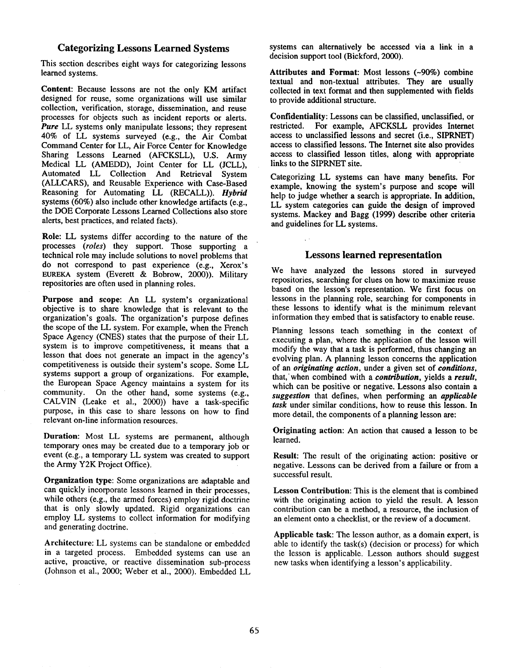### **Categorizing Lessons Learned Systems**

This section describes eight ways for categorizing lessons learned systems.

**Content:** Because lessons are not the only K\_M artifact designed for reuse, some organizations will use similar collection, verification, storage, dissemination, and reuse processes for objects such as incident reports or alerts. *Pure* LL systems only manipulate lessons; they represent 40% of LL systems surveyed (e.g., the Air Combat Command Center for LL, Air Force Center for Knowledge Sharing Lessons Learned (AFCKSLL), U.S. Army Medical LL (AMEDD), Joint Center for LL (JCLL), Automated LL Collection And Retrieval System (ALLCARS), and Reusable Experience with Case-Based Reasoning for Automating LL (RECALL)). *Hybrid* systems (60%) also include other knowledge artifacts (e.g., the DOE Corporate Lessons Learned Collections also store alerts, best practices, and related facts).

**Role:** LL systems differ according to the nature of the processes *(roles)* they support. Those supporting a technical role may include solutions to novel problems that do not correspond to past experience (e.g., Xerox's EUREKA system (Everett & Bobrow, 2000)). Military repositories are often used in planning roles.

**Purpose and scope:** An LL system's organizational objective is to share knowledge that is relevant to the organization's goals. The organization's purpose defines the scope of the LL system. For example, when the French Space Agency (CNES) states that the purpose of their LL system is to improve competitiveness, it means that a lesson that does not generate an impact in the agency's competitiveness is outside their system's scope. Some LL systems support a group of organizations. For example, the European Space Agency maintains a system for its community. On the other hand, some systems (e.g., CALVIN (Leake et al., 2000)) have a task-specific purpose, in this case to share lessons on how to find relevant on-line information resources.

**Duration:** Most LL systems are permanent, although temporary ones may be created due to a temporary job or event (e.g., a temporary LL system was created to support the Army Y2K Project Office).

**Organization type:** Some organizations are adaptable and can quickly incorporate lessons learned in their processes, while others (e.g., the armed forces) employ rigid doctrine that is only slowly updated. Rigid organizations can employ LL systems to collect information for modifying and generating doctrine.

Architecture: LL systems can be standalone or embedded in a targeted process. Embedded systems can use an active, proactive, or reactive dissemination sub-process (Johnson et al., 2000; Weber et al., 2000). Embedded LL systems can alternatively be accessed via a link in a decision support tool (Bickford, 2000).

Attributes and Format: Most lessons (~90%) combine textual and non-textual attributes. They are usually collected in text format and then supplemented with fields to provide additional structure.

**Confidentiality:** Lessons can be classified, unclassified, or restricted. For example, AFCKSLL provides Internet access to unclassified lessons and secret (i.e., SIPRNET) access to classified lessons. The Internet site also provides access to classified lesson titles, along with appropriate links to the SIPRNET site.

Categorizing LL systems can have many benefits. For example, knowing the system's purpose and scope will help to judge whether a search is appropriate. In addition, LL system categories can guide the design of improved systems. Mackey and Bagg (1999) describe other criteria and guidelines for LL systems.

#### **Lessons learned representation**

We have analyzed the lessons stored in surveyed repositories, searching for clues on how to maximize reuse based on the lesson's representation. We first focus on lessons in the planning role, searching for components in these lessons to identify what is the minimum relevant information they embed that is satisfactory to enable reuse.

Planning lessons teach something in the context of executing a plan, where the application of the lesson will modify the way that a task is performed, thus changing an evolving plan. A planning lesson concerns the application of an *originating action,* under a given set of *conditions,* that,'when combined with a *contribution,* yields a *result,* which can be positive or negative. Lessons also contain a *suggestion* that defines, when performing an *applicable task* under similar conditions, how to reuse this lesson. In more detail, the components of a planning lesson are:

Originating action: An action that caused a lesson to be learned.

Result: The result of the originating action: positive or negative. Lessons can be derived from a failure or from a successful result.

**Lesson Contribution:** This is the element that is combined with the originating action to yield the result. A lesson contribution can be a method, a resource, the inclusion of an element onto a checklist, or the review of a document.

Applicable task: The lesson author, as a domain expert, is able to identify the task(s) (decision or process) for which the lesson is applicable. Lesson authors should suggest new tasks when identifying a lesson's applicability.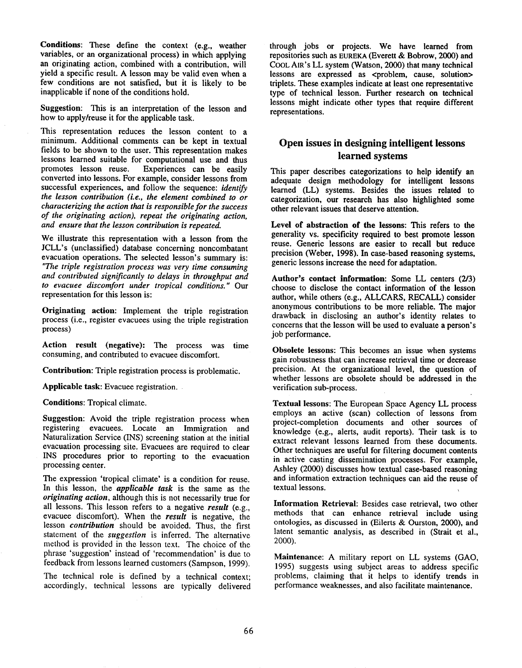**Conditions:** These define the context (e.g., weather variables, or an organizational process) in which applying an originating action, combined with a contribution, will yield a specific result. A lesson may be valid even when a few conditions are not satisfied, but it is likely to be inapplicable if none of the conditions hold.

**Suggestion:** This is an interpretation of the lesson and how to apply/reuse it for the applicable task.

This representation reduces the lesson content to a minimum. Additional comments can be kept in textual fields to be shown to the user. This representation makes lessons learned suitable for computational use and thus promotes lesson reuse. Experiences can be easily converted into lessons. For example, consider lessons from successful experiences, and follow the sequence: *identify the lesson contribution (i.e., the element combined to or characterizing the action that is responsible for the success of the originating action), repeat the originating action, and ensure that the lesson contribution is repeated.*

We illustrate this representation with a lesson from the JCLL's (unclassified) database concerning noncombatant evacuation operations. The selected lesson's summary is: *"The triple registration process was very time consuming and contributed significantly to delays in throughput and to evacuee discomfort under tropical conditions."* Our representation for this lesson is:

**Originating action:** Implement the triple registration process (i.e., register evacuees using the triple registration process)

**Action result (negative):** The process was time consuming, and contributed to evacuee discomfort.

**Contribution:** Triple registration process is problematic.

Applicable task: Evacuee registration.

**Conditions:** Tropical climate.

**Suggestion:** Avoid the triple registration process when registering evacuees. Locate an Immigration and Naturalization Service (INS) screening station at the initial evacuation processing site. Evacuees are required to clear INS procedures prior to reporting to the evacuation processing center.

The expression 'tropical climate' is a condition for reuse. In this lesson, the *applicable task* is the same as the *originating action,* although this is not necessarily true for all lessons. This lesson refers to a negative *result* (e.g., evacuee discomfort). When the *result* is negative, the lesson *contribution* should be avoided. Thus, the first statement of the *suggestion* is inferred. The alternative method is provided in the lesson text. The choice of the phrase 'suggestion' instead of 'recommendation' is due to feedback from lessons learned customers (Sampson, 1999).

The technical role is defined by a technical context; accordingly, technical lessons are typically delivered through jobs or projects. We have learned from repositories such as EUREKA (Everett & Bobrow, 2000) and COOL AIR's LL system (Watson, 2000) that many technical lessons are expressed as <problem, cause, solution> triplets. These examples indicate at least one representative type of technical lesson. Further research on technical lessons might indicate other types that require different representations.

## **Open issues in designing intelligent lessons learned systems**

This paper describes categorizations to help identify an adequate design methodology for intelligent **lessons** learned (LL) systems. Besides the issues related categorization, our research has also highlighted some other relevant issues that deserve attention.

**Level of abstraction of the lessons:** This refers to **the** generality vs. specificity required to best promote **lesson** reuse. Generic lessons are easier to recall but reduce precision (Weber, 1998). In case-based reasoning systems, generic lessons increase the need for adaptation.

Author's **contact information:** Some LL **centers** (2/3) choose to disclose the contact information of the lesson author, while others (e.g., ALLCARS, RECALL) consider anonymous contributions to be more reliable. The major drawback in disclosing an author's identity relates to concerns that the lesson will be used to evaluate a person's job performance.

Obsolete lessons: This becomes an issue when systems gain robustness that can increase retrieval time or decrease precision. At the organizational level, the question of whether lessons are obsolete should be addressed in the verification sub-process.

Textual lessons: The European Space Agency LL process employs an active (scan) collection of lessons from project-completion documents and other sources of knowledge (e.g., alerts, audit reports). Their task is extract relevant lessons learned from these documents. Other techniques are useful for filtering document contents in active casting dissemination processes. For example, Ashley (2000) discusses how textual case-based reasoning and information extraction techniques can aid the reuse of textual lessons.

**Information Retrieval:** Besides case retrieval, two other methods that can enhance retrieval include using ontologies, as discussed in (Eilerts & Ourston, 2000), and latent semantic analysis, as described in (Strait et al., 2OOO).

**Maintenance:** A military report on LL systems (GAO, 1995) suggests using subject areas to address specific problems, claiming that it helps to identify trends in performance weaknesses, and also facilitate maintenance.